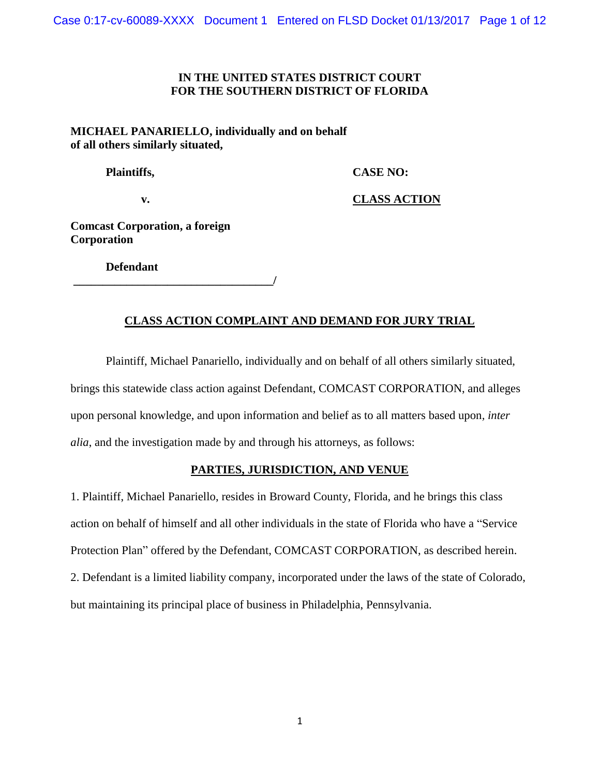# **IN THE UNITED STATES DISTRICT COURT FOR THE SOUTHERN DISTRICT OF FLORIDA**

**MICHAEL PANARIELLO, individually and on behalf of all others similarly situated,**

 **Plaintiffs, CASE NO:**

 **v. CLASS ACTION**

**Comcast Corporation, a foreign Corporation**

 **Defendant**

**\_\_\_\_\_\_\_\_\_\_\_\_\_\_\_\_\_\_\_\_\_\_\_\_\_\_\_\_\_\_\_\_\_\_/**

# **CLASS ACTION COMPLAINT AND DEMAND FOR JURY TRIAL**

Plaintiff, Michael Panariello, individually and on behalf of all others similarly situated, brings this statewide class action against Defendant, COMCAST CORPORATION, and alleges upon personal knowledge, and upon information and belief as to all matters based upon*, inter alia*, and the investigation made by and through his attorneys, as follows:

## **PARTIES, JURISDICTION, AND VENUE**

1. Plaintiff, Michael Panariello, resides in Broward County, Florida, and he brings this class action on behalf of himself and all other individuals in the state of Florida who have a "Service Protection Plan" offered by the Defendant, COMCAST CORPORATION, as described herein. 2. Defendant is a limited liability company, incorporated under the laws of the state of Colorado, but maintaining its principal place of business in Philadelphia, Pennsylvania.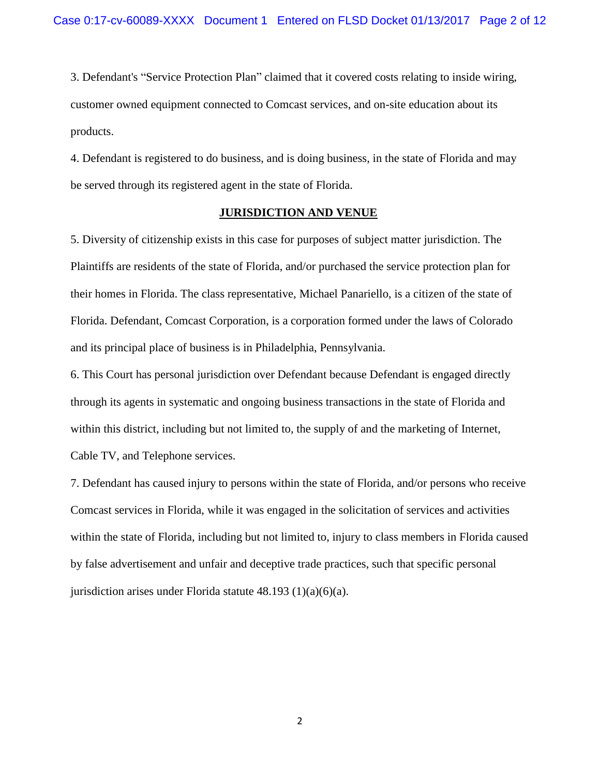3. Defendant's "Service Protection Plan" claimed that it covered costs relating to inside wiring, customer owned equipment connected to Comcast services, and on-site education about its products.

4. Defendant is registered to do business, and is doing business, in the state of Florida and may be served through its registered agent in the state of Florida.

#### **JURISDICTION AND VENUE**

5. Diversity of citizenship exists in this case for purposes of subject matter jurisdiction. The Plaintiffs are residents of the state of Florida, and/or purchased the service protection plan for their homes in Florida. The class representative, Michael Panariello, is a citizen of the state of Florida. Defendant, Comcast Corporation, is a corporation formed under the laws of Colorado and its principal place of business is in Philadelphia, Pennsylvania.

6. This Court has personal jurisdiction over Defendant because Defendant is engaged directly through its agents in systematic and ongoing business transactions in the state of Florida and within this district, including but not limited to, the supply of and the marketing of Internet, Cable TV, and Telephone services.

7. Defendant has caused injury to persons within the state of Florida, and/or persons who receive Comcast services in Florida, while it was engaged in the solicitation of services and activities within the state of Florida, including but not limited to, injury to class members in Florida caused by false advertisement and unfair and deceptive trade practices, such that specific personal jurisdiction arises under Florida statute 48.193 (1)(a)(6)(a).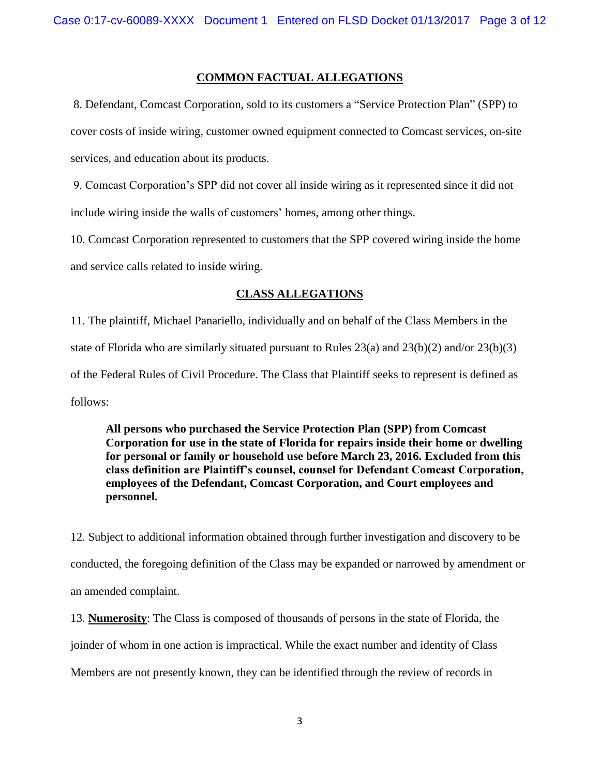## **COMMON FACTUAL ALLEGATIONS**

8. Defendant, Comcast Corporation, sold to its customers a "Service Protection Plan" (SPP) to cover costs of inside wiring, customer owned equipment connected to Comcast services, on-site services, and education about its products.

9. Comcast Corporation's SPP did not cover all inside wiring as it represented since it did not include wiring inside the walls of customers' homes, among other things.

10. Comcast Corporation represented to customers that the SPP covered wiring inside the home and service calls related to inside wiring.

## **CLASS ALLEGATIONS**

11. The plaintiff, Michael Panariello, individually and on behalf of the Class Members in the state of Florida who are similarly situated pursuant to Rules 23(a) and 23(b)(2) and/or 23(b)(3) of the Federal Rules of Civil Procedure. The Class that Plaintiff seeks to represent is defined as follows:

**All persons who purchased the Service Protection Plan (SPP) from Comcast Corporation for use in the state of Florida for repairs inside their home or dwelling for personal or family or household use before March 23, 2016. Excluded from this class definition are Plaintiff's counsel, counsel for Defendant Comcast Corporation, employees of the Defendant, Comcast Corporation, and Court employees and personnel.** 

12. Subject to additional information obtained through further investigation and discovery to be conducted, the foregoing definition of the Class may be expanded or narrowed by amendment or an amended complaint.

13. **Numerosity**: The Class is composed of thousands of persons in the state of Florida, the joinder of whom in one action is impractical. While the exact number and identity of Class Members are not presently known, they can be identified through the review of records in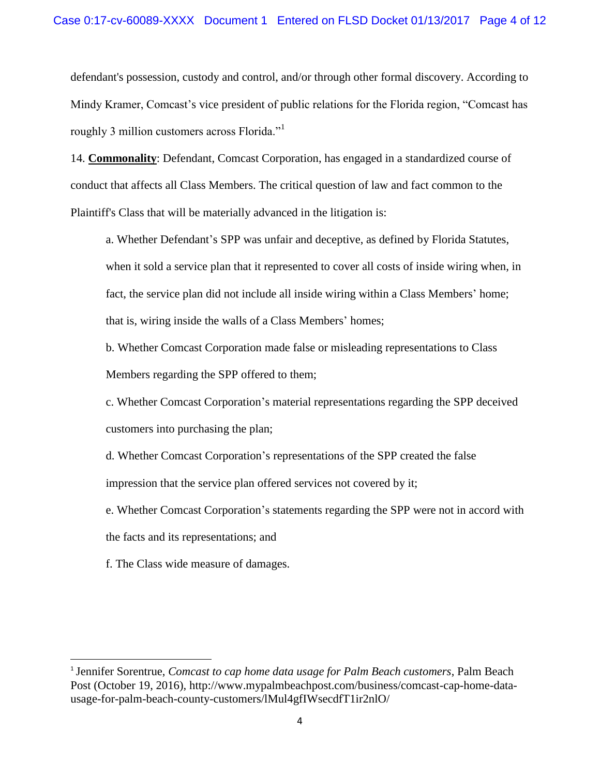defendant's possession, custody and control, and/or through other formal discovery. According to Mindy Kramer, Comcast's vice president of public relations for the Florida region, "Comcast has roughly 3 million customers across Florida."<sup>1</sup>

14. **Commonality**: Defendant, Comcast Corporation, has engaged in a standardized course of conduct that affects all Class Members. The critical question of law and fact common to the Plaintiff's Class that will be materially advanced in the litigation is:

a. Whether Defendant's SPP was unfair and deceptive, as defined by Florida Statutes, when it sold a service plan that it represented to cover all costs of inside wiring when, in fact, the service plan did not include all inside wiring within a Class Members' home; that is, wiring inside the walls of a Class Members' homes;

b. Whether Comcast Corporation made false or misleading representations to Class Members regarding the SPP offered to them;

c. Whether Comcast Corporation's material representations regarding the SPP deceived customers into purchasing the plan;

d. Whether Comcast Corporation's representations of the SPP created the false impression that the service plan offered services not covered by it;

e. Whether Comcast Corporation's statements regarding the SPP were not in accord with the facts and its representations; and

f. The Class wide measure of damages.

 $\overline{\phantom{a}}$ 

<sup>&</sup>lt;sup>1</sup> Jennifer Sorentrue, *Comcast to cap home data usage for Palm Beach customers*, Palm Beach Post (October 19, 2016), http://www.mypalmbeachpost.com/business/comcast-cap-home-datausage-for-palm-beach-county-customers/lMul4gfIWsecdfT1ir2nlO/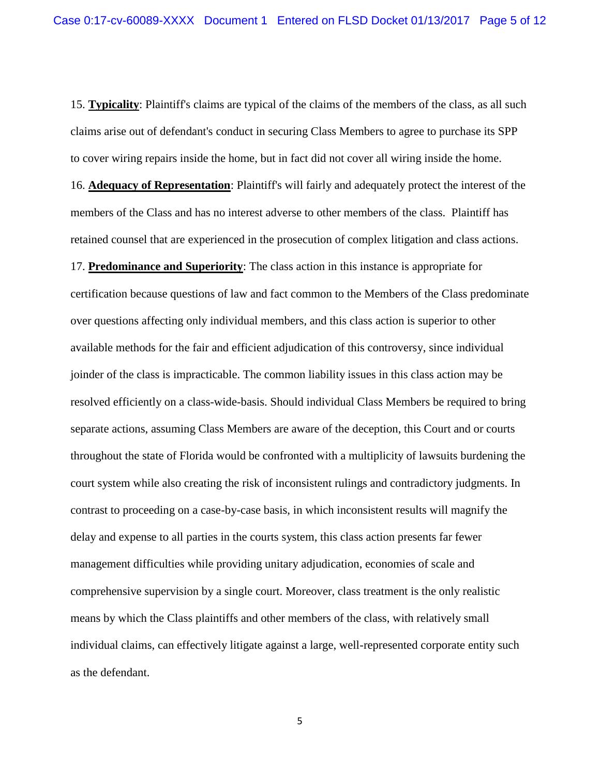15. **Typicality**: Plaintiff's claims are typical of the claims of the members of the class, as all such claims arise out of defendant's conduct in securing Class Members to agree to purchase its SPP to cover wiring repairs inside the home, but in fact did not cover all wiring inside the home. 16. **Adequacy of Representation**: Plaintiff's will fairly and adequately protect the interest of the members of the Class and has no interest adverse to other members of the class. Plaintiff has retained counsel that are experienced in the prosecution of complex litigation and class actions. 17. **Predominance and Superiority**: The class action in this instance is appropriate for certification because questions of law and fact common to the Members of the Class predominate over questions affecting only individual members, and this class action is superior to other available methods for the fair and efficient adjudication of this controversy, since individual joinder of the class is impracticable. The common liability issues in this class action may be resolved efficiently on a class-wide-basis. Should individual Class Members be required to bring separate actions, assuming Class Members are aware of the deception, this Court and or courts throughout the state of Florida would be confronted with a multiplicity of lawsuits burdening the court system while also creating the risk of inconsistent rulings and contradictory judgments. In contrast to proceeding on a case-by-case basis, in which inconsistent results will magnify the delay and expense to all parties in the courts system, this class action presents far fewer management difficulties while providing unitary adjudication, economies of scale and comprehensive supervision by a single court. Moreover, class treatment is the only realistic means by which the Class plaintiffs and other members of the class, with relatively small individual claims, can effectively litigate against a large, well-represented corporate entity such as the defendant.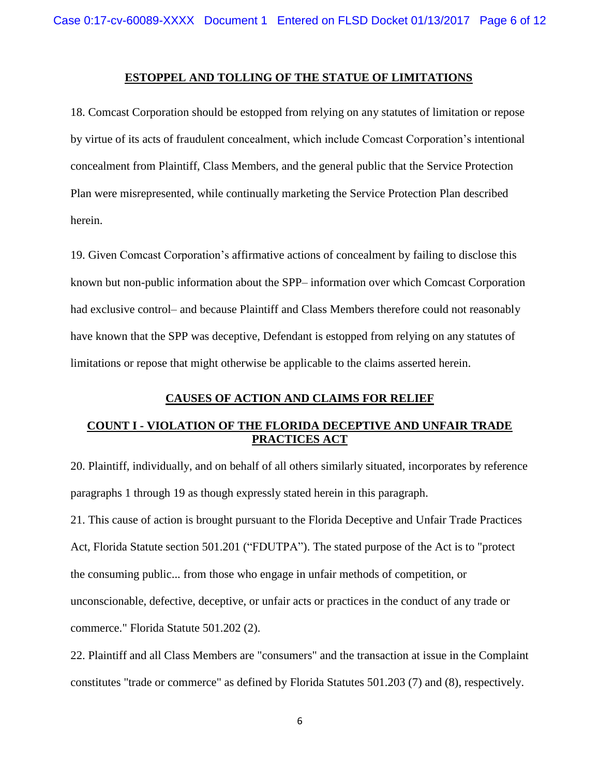### **ESTOPPEL AND TOLLING OF THE STATUE OF LIMITATIONS**

18. Comcast Corporation should be estopped from relying on any statutes of limitation or repose by virtue of its acts of fraudulent concealment, which include Comcast Corporation's intentional concealment from Plaintiff, Class Members, and the general public that the Service Protection Plan were misrepresented, while continually marketing the Service Protection Plan described herein.

19. Given Comcast Corporation's affirmative actions of concealment by failing to disclose this known but non-public information about the SPP– information over which Comcast Corporation had exclusive control– and because Plaintiff and Class Members therefore could not reasonably have known that the SPP was deceptive, Defendant is estopped from relying on any statutes of limitations or repose that might otherwise be applicable to the claims asserted herein.

## **CAUSES OF ACTION AND CLAIMS FOR RELIEF**

# **COUNT I - VIOLATION OF THE FLORIDA DECEPTIVE AND UNFAIR TRADE PRACTICES ACT**

20. Plaintiff, individually, and on behalf of all others similarly situated, incorporates by reference paragraphs 1 through 19 as though expressly stated herein in this paragraph.

21. This cause of action is brought pursuant to the Florida Deceptive and Unfair Trade Practices Act, Florida Statute section 501.201 ("FDUTPA"). The stated purpose of the Act is to "protect the consuming public... from those who engage in unfair methods of competition, or unconscionable, defective, deceptive, or unfair acts or practices in the conduct of any trade or commerce." Florida Statute 501.202 (2).

22. Plaintiff and all Class Members are "consumers" and the transaction at issue in the Complaint constitutes "trade or commerce" as defined by Florida Statutes 501.203 (7) and (8), respectively.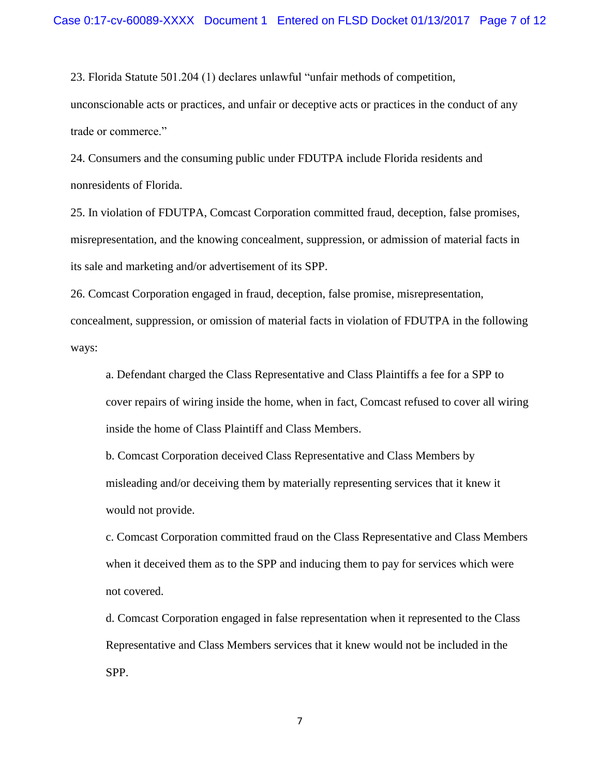23. Florida Statute 501.204 (1) declares unlawful "unfair methods of competition,

unconscionable acts or practices, and unfair or deceptive acts or practices in the conduct of any trade or commerce."

24. Consumers and the consuming public under FDUTPA include Florida residents and nonresidents of Florida.

25. In violation of FDUTPA, Comcast Corporation committed fraud, deception, false promises, misrepresentation, and the knowing concealment, suppression, or admission of material facts in its sale and marketing and/or advertisement of its SPP.

26. Comcast Corporation engaged in fraud, deception, false promise, misrepresentation, concealment, suppression, or omission of material facts in violation of FDUTPA in the following ways:

a. Defendant charged the Class Representative and Class Plaintiffs a fee for a SPP to cover repairs of wiring inside the home, when in fact, Comcast refused to cover all wiring inside the home of Class Plaintiff and Class Members.

b. Comcast Corporation deceived Class Representative and Class Members by misleading and/or deceiving them by materially representing services that it knew it would not provide.

c. Comcast Corporation committed fraud on the Class Representative and Class Members when it deceived them as to the SPP and inducing them to pay for services which were not covered.

d. Comcast Corporation engaged in false representation when it represented to the Class Representative and Class Members services that it knew would not be included in the SPP.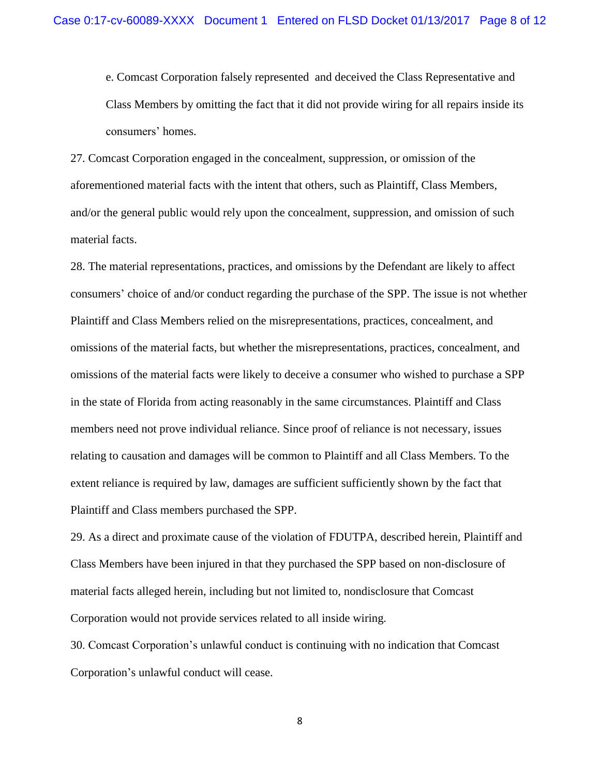e. Comcast Corporation falsely represented and deceived the Class Representative and Class Members by omitting the fact that it did not provide wiring for all repairs inside its consumers' homes.

27. Comcast Corporation engaged in the concealment, suppression, or omission of the aforementioned material facts with the intent that others, such as Plaintiff, Class Members, and/or the general public would rely upon the concealment, suppression, and omission of such material facts.

28. The material representations, practices, and omissions by the Defendant are likely to affect consumers' choice of and/or conduct regarding the purchase of the SPP. The issue is not whether Plaintiff and Class Members relied on the misrepresentations, practices, concealment, and omissions of the material facts, but whether the misrepresentations, practices, concealment, and omissions of the material facts were likely to deceive a consumer who wished to purchase a SPP in the state of Florida from acting reasonably in the same circumstances. Plaintiff and Class members need not prove individual reliance. Since proof of reliance is not necessary, issues relating to causation and damages will be common to Plaintiff and all Class Members. To the extent reliance is required by law, damages are sufficient sufficiently shown by the fact that Plaintiff and Class members purchased the SPP.

29. As a direct and proximate cause of the violation of FDUTPA, described herein, Plaintiff and Class Members have been injured in that they purchased the SPP based on non-disclosure of material facts alleged herein, including but not limited to, nondisclosure that Comcast Corporation would not provide services related to all inside wiring.

30. Comcast Corporation's unlawful conduct is continuing with no indication that Comcast Corporation's unlawful conduct will cease.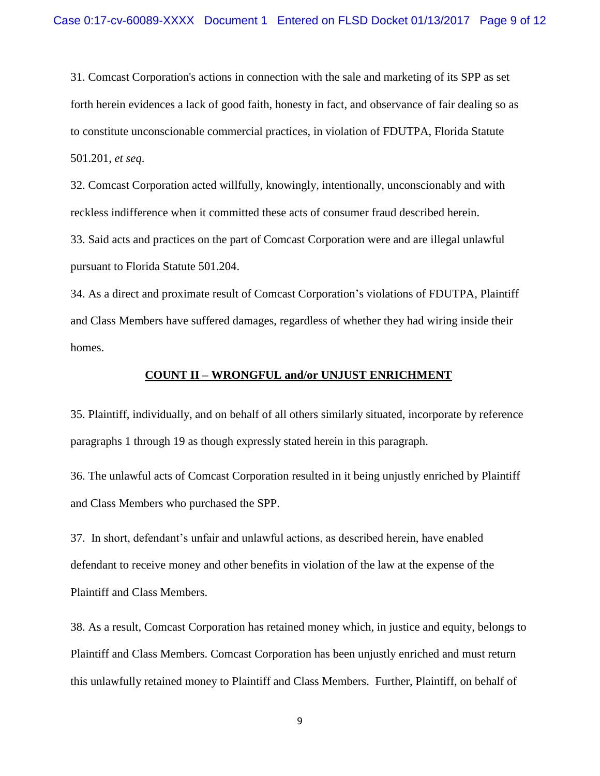31. Comcast Corporation's actions in connection with the sale and marketing of its SPP as set forth herein evidences a lack of good faith, honesty in fact, and observance of fair dealing so as to constitute unconscionable commercial practices, in violation of FDUTPA, Florida Statute 501.201, *et seq*.

32. Comcast Corporation acted willfully, knowingly, intentionally, unconscionably and with reckless indifference when it committed these acts of consumer fraud described herein.

33. Said acts and practices on the part of Comcast Corporation were and are illegal unlawful pursuant to Florida Statute 501.204.

34. As a direct and proximate result of Comcast Corporation's violations of FDUTPA, Plaintiff and Class Members have suffered damages, regardless of whether they had wiring inside their homes.

#### **COUNT II – WRONGFUL and/or UNJUST ENRICHMENT**

35. Plaintiff, individually, and on behalf of all others similarly situated, incorporate by reference paragraphs 1 through 19 as though expressly stated herein in this paragraph.

36. The unlawful acts of Comcast Corporation resulted in it being unjustly enriched by Plaintiff and Class Members who purchased the SPP.

37. In short, defendant's unfair and unlawful actions, as described herein, have enabled defendant to receive money and other benefits in violation of the law at the expense of the Plaintiff and Class Members.

38. As a result, Comcast Corporation has retained money which, in justice and equity, belongs to Plaintiff and Class Members. Comcast Corporation has been unjustly enriched and must return this unlawfully retained money to Plaintiff and Class Members. Further, Plaintiff, on behalf of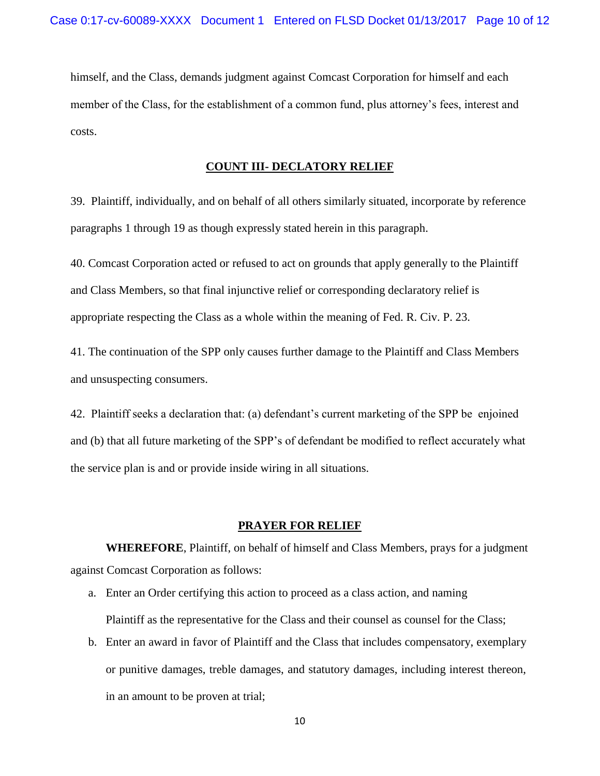himself, and the Class, demands judgment against Comcast Corporation for himself and each member of the Class, for the establishment of a common fund, plus attorney's fees, interest and costs.

### **COUNT III- DECLATORY RELIEF**

39. Plaintiff, individually, and on behalf of all others similarly situated, incorporate by reference paragraphs 1 through 19 as though expressly stated herein in this paragraph.

40. Comcast Corporation acted or refused to act on grounds that apply generally to the Plaintiff and Class Members, so that final injunctive relief or corresponding declaratory relief is appropriate respecting the Class as a whole within the meaning of Fed. R. Civ. P. 23.

41. The continuation of the SPP only causes further damage to the Plaintiff and Class Members and unsuspecting consumers.

42. Plaintiff seeks a declaration that: (a) defendant's current marketing of the SPP be enjoined and (b) that all future marketing of the SPP's of defendant be modified to reflect accurately what the service plan is and or provide inside wiring in all situations.

#### **PRAYER FOR RELIEF**

**WHEREFORE**, Plaintiff, on behalf of himself and Class Members, prays for a judgment against Comcast Corporation as follows:

- a. Enter an Order certifying this action to proceed as a class action, and naming Plaintiff as the representative for the Class and their counsel as counsel for the Class;
- b. Enter an award in favor of Plaintiff and the Class that includes compensatory, exemplary or punitive damages, treble damages, and statutory damages, including interest thereon, in an amount to be proven at trial;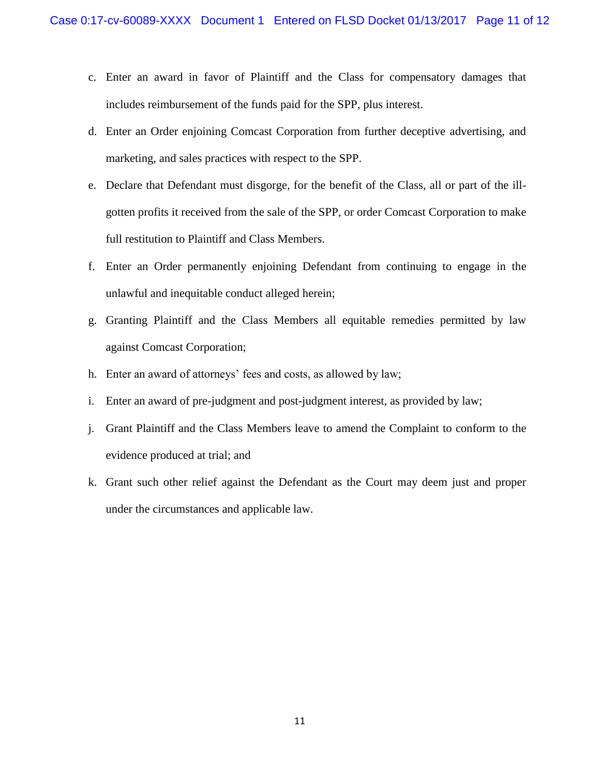- c. Enter an award in favor of Plaintiff and the Class for compensatory damages that includes reimbursement of the funds paid for the SPP, plus interest.
- d. Enter an Order enjoining Comcast Corporation from further deceptive advertising, and marketing, and sales practices with respect to the SPP.
- e. Declare that Defendant must disgorge, for the benefit of the Class, all or part of the illgotten profits it received from the sale of the SPP, or order Comcast Corporation to make full restitution to Plaintiff and Class Members.
- f. Enter an Order permanently enjoining Defendant from continuing to engage in the unlawful and inequitable conduct alleged herein;
- g. Granting Plaintiff and the Class Members all equitable remedies permitted by law against Comcast Corporation;
- h. Enter an award of attorneys' fees and costs, as allowed by law;
- i. Enter an award of pre-judgment and post-judgment interest, as provided by law;
- j. Grant Plaintiff and the Class Members leave to amend the Complaint to conform to the evidence produced at trial; and
- k. Grant such other relief against the Defendant as the Court may deem just and proper under the circumstances and applicable law.